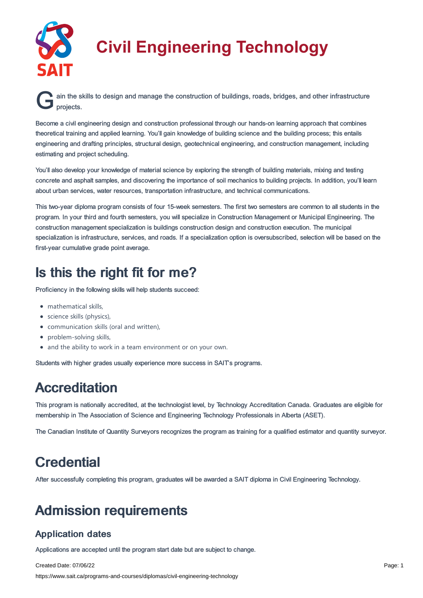

# **Civil Engineering Technology**

**G** ain the skills to design and manage the construction of buildings, roads, bridges, and other infrastructure projects. projects.

Become a civil engineering design and construction professional through our hands-on learning approach that combines theoretical training and applied learning. You'll gain knowledge of building science and the building process; this entails engineering and drafting principles, structural design, geotechnical engineering, and construction management, including estimating and project scheduling.

You'll also develop your knowledge of material science by exploring the strength of building materials, mixing and testing concrete and asphalt samples, and discovering the importance of soil mechanics to building projects. In addition, you'll learn about urban services, water resources, transportation infrastructure, and technical communications.

This two-year diploma program consists of four 15-week semesters. The first two semesters are common to all students in the program. In your third and fourth semesters, you will specialize in Construction Management or Municipal Engineering. The construction management specialization is buildings construction design and construction execution. The municipal specialization is infrastructure, services, and roads. If a specialization option is oversubscribed, selection will be based on the first-year cumulative grade point average.

# Is this the right fit for me?

Proficiency in the following skills will help students succeed:

- mathematical skills,
- science skills (physics),
- communication skills (oral and written),
- problem-solving skills,
- and the ability to work in a team environment or on your own.

Students with higher grades usually experience more success in SAIT's programs.

## Accreditation

This program is nationally accredited, at the technologist level, by Technology Accreditation Canada. Graduates are eligible for membership in The Association of Science and Engineering Technology Professionals in Alberta (ASET).

The Canadian Institute of Quantity Surveyors recognizes the program as training for a qualified estimator and quantity surveyor.

# **Credential**

After successfully completing this program, graduates will be awarded a SAIT diploma in Civil Engineering Technology.

# Admission requirements

### Application dates

Applications are accepted until the program start date but are subject to change.

Created Date: 07/06/22 https://www.sait.ca/programs-and-courses/diplomas/civil-engineering-technology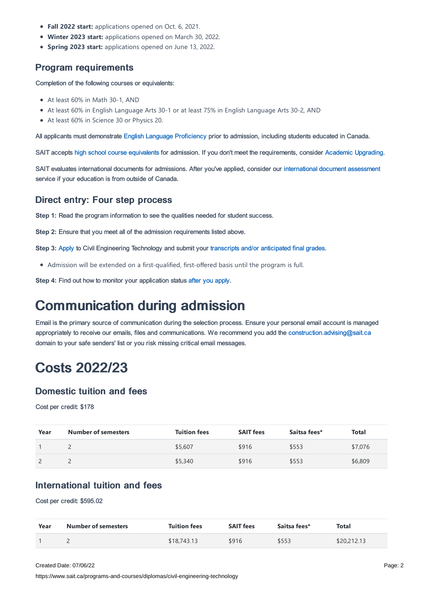- **Fall 2022 start:** applications opened on Oct. 6, 2021.
- **Winter 2023 start:** applications opened on March 30, 2022.
- **Spring 2023 start:** applications opened on June 13, 2022.

### Program requirements

Completion of the following courses or equivalents:

- At least 60% in Math 30-1, AND
- At least 60% in English Language Arts 30-1 or at least 75% in English Language Arts 30-2, AND
- At least 60% in Science 30 or Physics 20.

All applicants must demonstrate English Language [Proficiency](https://www.sait.ca/admissions/before-you-apply/english-proficiency) prior to admission, including students educated in Canada.

SAIT accepts high school course [equivalents](https://www.sait.ca/admissions/before-you-apply/high-school-course-equivalencies) for admission. If you don't meet the requirements, consider Academic [Upgrading.](https://www.sait.ca/programs-and-courses/academic-upgrading)

SAIT evaluates international documents for admissions. After you've applied, consider our [international](https://www.sait.ca/admissions/after-you-apply/international-document-assessment) document assessment service if your education is from outside of Canada.

#### Direct entry: Four step process

**Step 1:** Read the program information to see the qualities needed for student success.

**Step 2:** Ensure that you meet all of the admission requirements listed above.

**Step 3:** [Apply](https://www.sait.ca/admissions/apply) to Civil Engineering Technology and submit your transcripts and/or [anticipated](https://www.sait.ca/admissions/after-you-apply/transcripts-and-supporting-documents) final grades.

Admission will be extended on a first-qualified, first-offered basis until the program is full.

**Step 4:** Find out how to monitor your application status after you [apply](https://www.sait.ca/admissions/after-you-apply/tracking-your-application).

### Communication during admission

Email is the primary source of communication during the selection process. Ensure your personal email account is managed appropriately to receive our emails, files and communications. We recommend you add the [construction.advising@sait.ca](https://sait.camailto:business.advising@sait.ca) domain to your safe senders' list or you risk missing critical email messages.

### Costs 2022/23

### Domestic tuition and fees

Cost per credit: \$178

| Year | <b>Number of semesters</b> | <b>Tuition fees</b> | <b>SAIT fees</b> | Saitsa fees* | Total   |
|------|----------------------------|---------------------|------------------|--------------|---------|
|      | <b>__</b>                  | \$5,607             | \$916            | \$553        | \$7,076 |
|      | <u>_</u>                   | \$5,340             | \$916            | \$553        | \$6,809 |

### International tuition and fees

Cost per credit: \$595.02

| Year | <b>Number of semesters</b> | <b>Tuition fees</b> | <b>SAIT fees</b> | Saitsa fees* | Total       |
|------|----------------------------|---------------------|------------------|--------------|-------------|
|      |                            | \$18,743.13         | \$916            | \$553        | \$20,212.13 |

Created Date: 07/06/22

https://www.sait.ca/programs-and-courses/diplomas/civil-engineering-technology